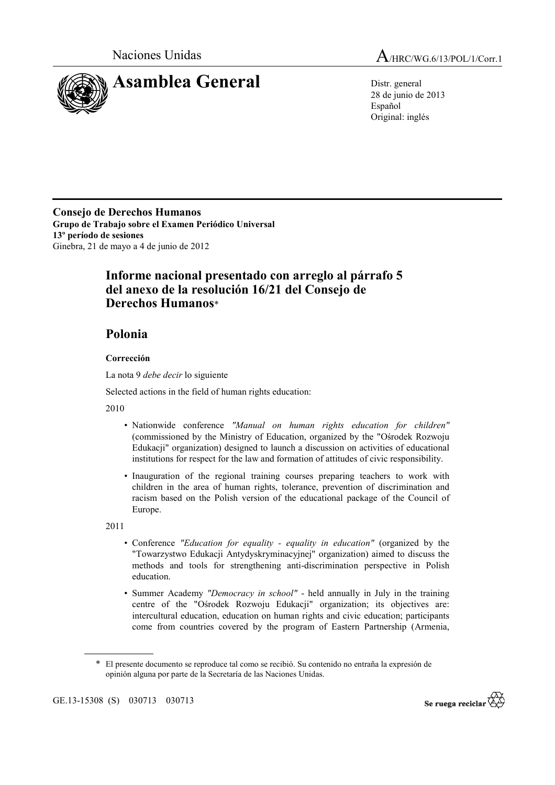

28 de junio de 2013 Español Original: inglés

**Consejo de Derechos Humanos Grupo de Trabajo sobre el Examen Periódico Universal 13º período de sesiones**  Ginebra, 21 de mayo a 4 de junio de 2012

## **Informe nacional presentado con arreglo al párrafo 5 del anexo de la resolución 16/21 del Consejo de Derechos Humanos**\*

## **Polonia**

## **Corrección**

La nota 9 *debe decir* lo siguiente

Selected actions in the field of human rights education:

2010

- Nationwide conference *"Manual on human rights education for children"* (commissioned by the Ministry of Education, organized by the "Ośrodek Rozwoju Edukacji" organization) designed to launch a discussion on activities of educational institutions for respect for the law and formation of attitudes of civic responsibility.
- Inauguration of the regional training courses preparing teachers to work with children in the area of human rights, tolerance, prevention of discrimination and racism based on the Polish version of the educational package of the Council of Europe.

2011

- Conference *"Education for equality equality in education"* (organized by the "Towarzystwo Edukacji Antydyskryminacyjnej" organization) aimed to discuss the methods and tools for strengthening anti-discrimination perspective in Polish education.
- Summer Academy *"Democracy in school"* held annually in July in the training centre of the "Ośrodek Rozwoju Edukacji" organization; its objectives are: intercultural education, education on human rights and civic education; participants come from countries covered by the program of Eastern Partnership (Armenia,



<sup>\*</sup> El presente documento se reproduce tal como se recibió. Su contenido no entraña la expresión de opinión alguna por parte de la Secretaría de las Naciones Unidas.